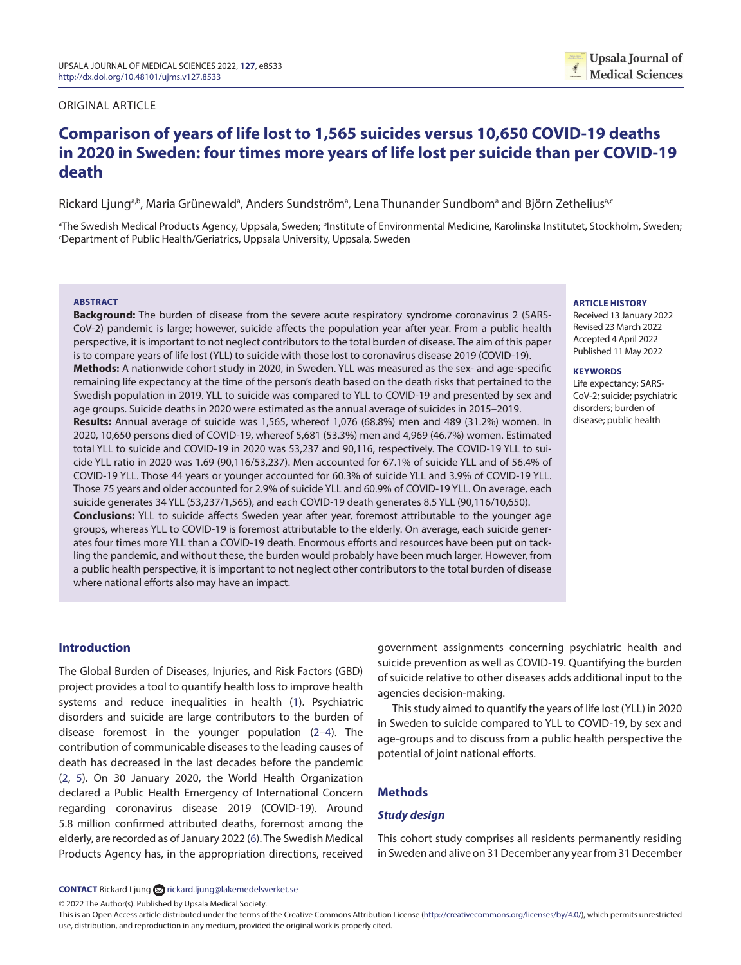#### ORIGINAL ARTICLE

# **Comparison of years of life lost to 1,565 suicides versus 10,650 COVID-19 deaths in 2020 in Sweden: four times more years of life lost per suicide than per COVID-19 death**

Rickard Ljung<sup>a,b</sup>, Maria Grünewald<sup>a</sup>, Anders Sundströmª, Lena Thunander Sundbomª and Björn Zetheliusª<sup>.c</sup>

ªThe Swedish Medical Products Agency, Uppsala, Sweden; ʰInstitute of Environmental Medicine, Karolinska Institutet, Stockholm, Sweden;<br>Department of Public Health/Geriatrics Thnsala University Thnsala, Sweden Department of Public Health/Geriatrics, Uppsala University, Uppsala, Sweden

#### **ABSTRACT**

**Background:** The burden of disease from the severe acute respiratory syndrome coronavirus 2 (SARS-CoV-2) pandemic is large; however, suicide affects the population year after year. From a public health perspective, it is important to not neglect contributors to the total burden of disease. The aim of this paper is to compare years of life lost (YLL) to suicide with those lost to coronavirus disease 2019 (COVID-19). **Methods:** A nationwide cohort study in 2020, in Sweden. YLL was measured as the sex- and age-specific remaining life expectancy at the time of the person's death based on the death risks that pertained to the Swedish population in 2019. YLL to suicide was compared to YLL to COVID-19 and presented by sex and age groups. Suicide deaths in 2020 were estimated as the annual average of suicides in 2015–2019. **Results:** Annual average of suicide was 1,565, whereof 1,076 (68.8%) men and 489 (31.2%) women. In 2020, 10,650 persons died of COVID-19, whereof 5,681 (53.3%) men and 4,969 (46.7%) women. Estimated total YLL to suicide and COVID-19 in 2020 was 53,237 and 90,116, respectively. The COVID-19 YLL to suicide YLL ratio in 2020 was 1.69 (90,116/53,237). Men accounted for 67.1% of suicide YLL and of 56.4% of COVID-19 YLL. Those 44 years or younger accounted for 60.3% of suicide YLL and 3.9% of COVID-19 YLL. Those 75 years and older accounted for 2.9% of suicide YLL and 60.9% of COVID-19 YLL. On average, each suicide generates 34 YLL (53,237/1,565), and each COVID-19 death generates 8.5 YLL (90,116/10,650). **Conclusions:** YLL to suicide affects Sweden year after year, foremost attributable to the younger age groups, whereas YLL to COVID-19 is foremost attributable to the elderly. On average, each suicide generates four times more YLL than a COVID-19 death. Enormous efforts and resources have been put on tackling the pandemic, and without these, the burden would probably have been much larger. However, from a public health perspective, it is important to not neglect other contributors to the total burden of disease where national efforts also may have an impact.

#### **ARTICLE HISTORY**

Received 13 January 2022 Revised 23 March 2022 Accepted 4 April 2022 Published 11 May 2022

#### **KEYWORDS**

Life expectancy; SARS-CoV-2; suicide; psychiatric disorders; burden of disease; public health

# **Introduction**

<span id="page-0-3"></span><span id="page-0-1"></span>The Global Burden of Diseases, Injuries, and Risk Factors (GBD) project provides a tool to quantify health loss to improve health systems and reduce inequalities in health ([1\)](#page-3-0). Psychiatric disorders and suicide are large contributors to the burden of disease foremost in the younger population ([2–](#page-3-1)[4](#page-3-2)). The contribution of communicable diseases to the leading causes of death has decreased in the last decades before the pandemic [\(2,](#page-3-1) [5\)](#page-3-3). On 30 January 2020, the World Health Organization declared a Public Health Emergency of International Concern regarding coronavirus disease 2019 (COVID-19). Around 5.8 million confirmed attributed deaths, foremost among the elderly, are recorded as of January 2022 ([6\)](#page-4-0). The Swedish Medical Products Agency has, in the appropriation directions, received government assignments concerning psychiatric health and suicide prevention as well as COVID-19. Quantifying the burden of suicide relative to other diseases adds additional input to the agencies decision-making.

<span id="page-0-2"></span><span id="page-0-0"></span>This study aimed to quantify the years of life lost (YLL) in 2020 in Sweden to suicide compared to YLL to COVID-19, by sex and age-groups and to discuss from a public health perspective the potential of joint national efforts.

## **Methods**

### *Study design*

<span id="page-0-4"></span>This cohort study comprises all residents permanently residing in Sweden and alive on 31 December any year from 31 December

**CONTACT** Rickard Ljun[g](http://rickard.ljung@lakemedelsverket.se) a[rickard.ljung@lakemedelsverket.se](mailto:rickard.ljung@lakemedelsverket.se)

© 2022 The Author(s). Published by Upsala Medical Society.

This is an Open Access article distributed under the terms of the Creative Commons Attribution License (<http://creativecommons.org/licenses/by/4.0/>), which permits unrestricted use, distribution, and reproduction in any medium, provided the original work is properly cited.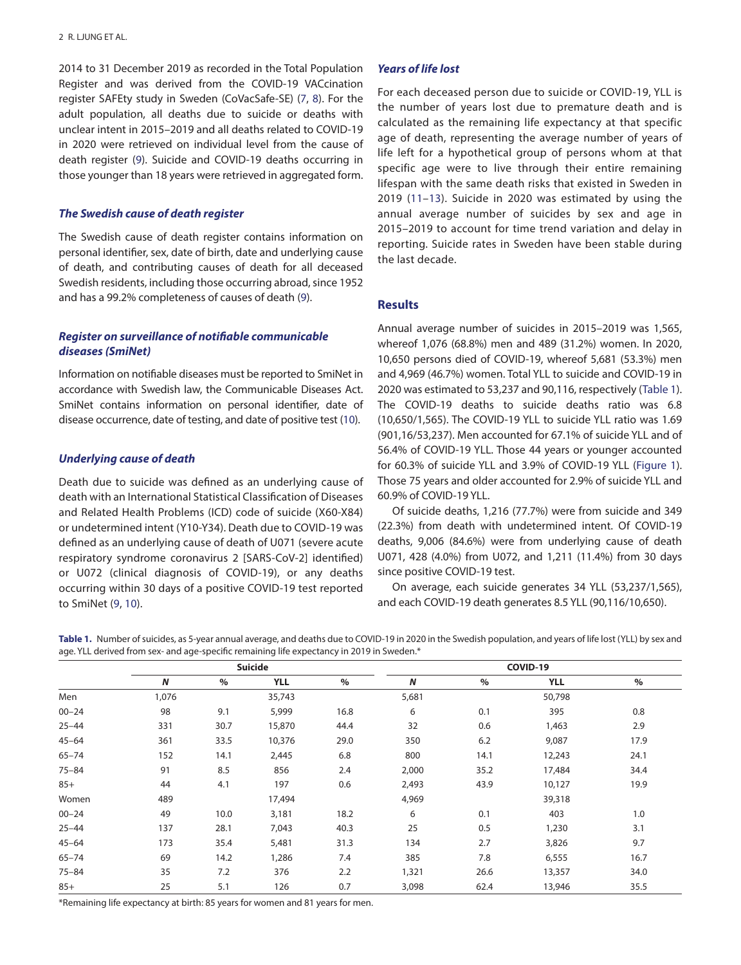<span id="page-1-3"></span>2014 to 31 December 2019 as recorded in the Total Population Register and was derived from the COVID-19 VACcination register SAFEty study in Sweden (CoVacSafe-SE) [\(7](#page-4-1), [8](#page-4-2)). For the adult population, all deaths due to suicide or deaths with unclear intent in 2015–2019 and all deaths related to COVID-19 in 2020 were retrieved on individual level from the cause of death register ([9\)](#page-4-3). Suicide and COVID-19 deaths occurring in those younger than 18 years were retrieved in aggregated form.

#### *The Swedish cause of death register*

The Swedish cause of death register contains information on personal identifier, sex, date of birth, date and underlying cause of death, and contributing causes of death for all deceased Swedish residents, including those occurring abroad, since 1952 and has a 99.2% completeness of causes of death [\(9](#page-4-3)).

# *Register on surveillance of notifiable communicable diseases (SmiNet)*

Information on notifiable diseases must be reported to SmiNet in accordance with Swedish law, the Communicable Diseases Act. SmiNet contains information on personal identifier, date of disease occurrence, date of testing, and date of positive test [\(10\)](#page-4-4).

#### *Underlying cause of death*

Death due to suicide was defined as an underlying cause of death with an International Statistical Classification of Diseases and Related Health Problems (ICD) code of suicide (X60-X84) or undetermined intent (Y10-Y34). Death due to COVID-19 was defined as an underlying cause of death of U071 (severe acute respiratory syndrome coronavirus 2 [SARS-CoV-2] identified) or U072 (clinical diagnosis of COVID-19), or any deaths occurring within 30 days of a positive COVID-19 test reported to SmiNet [\(9](#page-4-3), [10\)](#page-4-4).

# *Years of life lost*

<span id="page-1-8"></span><span id="page-1-7"></span><span id="page-1-5"></span><span id="page-1-4"></span>For each deceased person due to suicide or COVID-19, YLL is the number of years lost due to premature death and is calculated as the remaining life expectancy at that specific age of death, representing the average number of years of life left for a hypothetical group of persons whom at that specific age were to live through their entire remaining lifespan with the same death risks that existed in Sweden in 2019 ([11–](#page-4-5)[13\)](#page-4-6). Suicide in 2020 was estimated by using the annual average number of suicides by sex and age in 2015–2019 to account for time trend variation and delay in reporting. Suicide rates in Sweden have been stable during the last decade.

### **Results**

<span id="page-1-6"></span><span id="page-1-1"></span>Annual average number of suicides in 2015–2019 was 1,565, whereof 1,076 (68.8%) men and 489 (31.2%) women. In 2020, 10,650 persons died of COVID-19, whereof 5,681 (53.3%) men and 4,969 (46.7%) women. Total YLL to suicide and COVID-19 in 2020 was estimated to 53,237 and 90,116, respectively ([Table 1](#page-1-0)). The COVID-19 deaths to suicide deaths ratio was 6.8 (10,650/1,565). The COVID-19 YLL to suicide YLL ratio was 1.69 (901,16/53,237). Men accounted for 67.1% of suicide YLL and of 56.4% of COVID-19 YLL. Those 44 years or younger accounted for 60.3% of suicide YLL and 3.9% of COVID-19 YLL [\(Figure 1](#page-2-0)). Those 75 years and older accounted for 2.9% of suicide YLL and 60.9% of COVID-19 YLL.

<span id="page-1-2"></span>Of suicide deaths, 1,216 (77.7%) were from suicide and 349 (22.3%) from death with undetermined intent. Of COVID-19 deaths, 9,006 (84.6%) were from underlying cause of death U071, 428 (4.0%) from U072, and 1,211 (11.4%) from 30 days since positive COVID-19 test.

On average, each suicide generates 34 YLL (53,237/1,565), and each COVID-19 death generates 8.5 YLL (90,116/10,650).

<span id="page-1-0"></span>**Table 1.** [Number of suicides, as 5-year annual average, and deaths due to COVID-19 in 2020 in the Swedish population, and years of life lost \(YLL\) by sex and](#page-1-1)  [age. YLL derived from sex- and age-specific remaining life expectancy in 2019 in Sweden.\\*](#page-1-1)

|           | <b>Suicide</b> |      |            |      | COVID-19 |      |            |      |
|-----------|----------------|------|------------|------|----------|------|------------|------|
|           | N              | %    | <b>YLL</b> | $\%$ | N        | %    | <b>YLL</b> | $\%$ |
| Men       | 1,076          |      | 35,743     |      | 5,681    |      | 50,798     |      |
| $00 - 24$ | 98             | 9.1  | 5,999      | 16.8 | 6        | 0.1  | 395        | 0.8  |
| $25 - 44$ | 331            | 30.7 | 15,870     | 44.4 | 32       | 0.6  | 1,463      | 2.9  |
| $45 - 64$ | 361            | 33.5 | 10,376     | 29.0 | 350      | 6.2  | 9,087      | 17.9 |
| $65 - 74$ | 152            | 14.1 | 2,445      | 6.8  | 800      | 14.1 | 12,243     | 24.1 |
| $75 - 84$ | 91             | 8.5  | 856        | 2.4  | 2,000    | 35.2 | 17,484     | 34.4 |
| $85+$     | 44             | 4.1  | 197        | 0.6  | 2,493    | 43.9 | 10,127     | 19.9 |
| Women     | 489            |      | 17,494     |      | 4,969    |      | 39,318     |      |
| $00 - 24$ | 49             | 10.0 | 3,181      | 18.2 | 6        | 0.1  | 403        | 1.0  |
| $25 - 44$ | 137            | 28.1 | 7,043      | 40.3 | 25       | 0.5  | 1,230      | 3.1  |
| $45 - 64$ | 173            | 35.4 | 5,481      | 31.3 | 134      | 2.7  | 3,826      | 9.7  |
| $65 - 74$ | 69             | 14.2 | 1,286      | 7.4  | 385      | 7.8  | 6,555      | 16.7 |
| $75 - 84$ | 35             | 7.2  | 376        | 2.2  | 1,321    | 26.6 | 13,357     | 34.0 |
| $85+$     | 25             | 5.1  | 126        | 0.7  | 3,098    | 62.4 | 13,946     | 35.5 |

\*Remaining life expectancy at birth: 85 years for women and 81 years for men.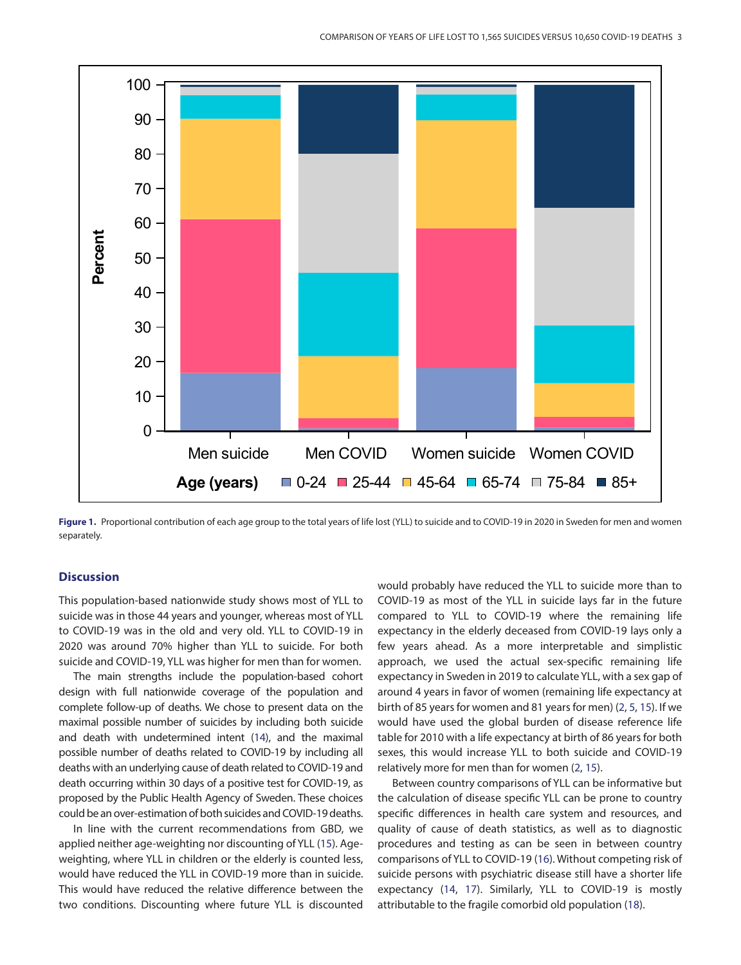

<span id="page-2-0"></span>Figure 1. [Proportional contribution of each age group to the total years of life lost \(YLL\) to suicide and to COVID-19 in 2020 in Sweden for men and women](#page-1-2) [separately.](#page-1-2)

# **Discussion**

This population-based nationwide study shows most of YLL to suicide was in those 44 years and younger, whereas most of YLL to COVID-19 was in the old and very old. YLL to COVID-19 in 2020 was around 70% higher than YLL to suicide. For both suicide and COVID-19, YLL was higher for men than for women.

The main strengths include the population-based cohort design with full nationwide coverage of the population and complete follow-up of deaths. We chose to present data on the maximal possible number of suicides by including both suicide and death with undetermined intent [\(14](#page-4-7)), and the maximal possible number of deaths related to COVID-19 by including all deaths with an underlying cause of death related to COVID-19 and death occurring within 30 days of a positive test for COVID-19, as proposed by the Public Health Agency of Sweden. These choices could be an over-estimation of both suicides and COVID-19 deaths.

In line with the current recommendations from GBD, we applied neither age-weighting nor discounting of YLL [\(15](#page-4-8)). Ageweighting, where YLL in children or the elderly is counted less, would have reduced the YLL in COVID-19 more than in suicide. This would have reduced the relative difference between the two conditions. Discounting where future YLL is discounted would probably have reduced the YLL to suicide more than to COVID-19 as most of the YLL in suicide lays far in the future compared to YLL to COVID-19 where the remaining life expectancy in the elderly deceased from COVID-19 lays only a few years ahead. As a more interpretable and simplistic approach, we used the actual sex-specific remaining life expectancy in Sweden in 2019 to calculate YLL, with a sex gap of around 4 years in favor of women (remaining life expectancy at birth of 85 years for women and 81 years for men) ([2,](#page-3-1) [5,](#page-3-3) [15](#page-4-8)). If we would have used the global burden of disease reference life table for 2010 with a life expectancy at birth of 86 years for both sexes, this would increase YLL to both suicide and COVID-19 relatively more for men than for women ([2](#page-3-1), [15](#page-4-8)).

<span id="page-2-5"></span><span id="page-2-4"></span><span id="page-2-3"></span><span id="page-2-2"></span><span id="page-2-1"></span>Between country comparisons of YLL can be informative but the calculation of disease specific YLL can be prone to country specific differences in health care system and resources, and quality of cause of death statistics, as well as to diagnostic procedures and testing as can be seen in between country comparisons of YLL to COVID-19 [\(16\)](#page-4-9). Without competing risk of suicide persons with psychiatric disease still have a shorter life expectancy ([14,](#page-4-7) [17](#page-4-10)). Similarly, YLL to COVID-19 is mostly attributable to the fragile comorbid old population [\(18](#page-4-11)).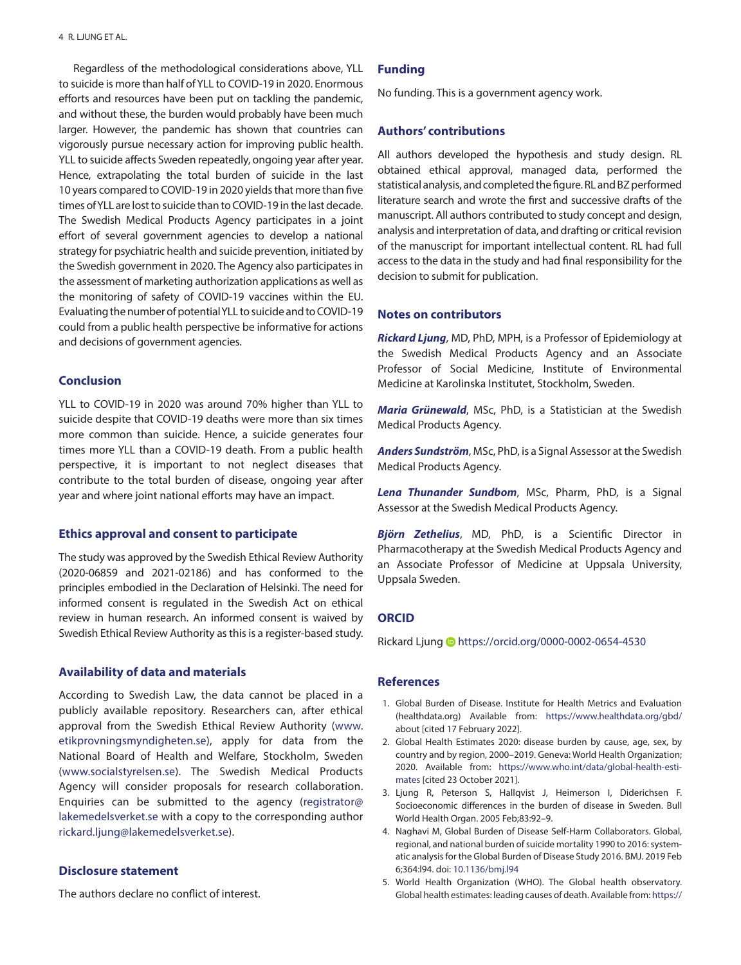Regardless of the methodological considerations above, YLL to suicide is more than half of YLL to COVID-19 in 2020. Enormous efforts and resources have been put on tackling the pandemic, and without these, the burden would probably have been much larger. However, the pandemic has shown that countries can vigorously pursue necessary action for improving public health. YLL to suicide affects Sweden repeatedly, ongoing year after year. Hence, extrapolating the total burden of suicide in the last 10 years compared to COVID-19 in 2020 yields that more than five times of YLL are lost to suicide than to COVID-19 in the last decade. The Swedish Medical Products Agency participates in a joint effort of several government agencies to develop a national strategy for psychiatric health and suicide prevention, initiated by the Swedish government in 2020. The Agency also participates in the assessment of marketing authorization applications as well as the monitoring of safety of COVID-19 vaccines within the EU. Evaluating the number of potential YLL to suicide and to COVID-19 could from a public health perspective be informative for actions and decisions of government agencies.

### **Conclusion**

YLL to COVID-19 in 2020 was around 70% higher than YLL to suicide despite that COVID-19 deaths were more than six times more common than suicide. Hence, a suicide generates four times more YLL than a COVID-19 death. From a public health perspective, it is important to not neglect diseases that contribute to the total burden of disease, ongoing year after year and where joint national efforts may have an impact.

# **Ethics approval and consent to participate**

The study was approved by the Swedish Ethical Review Authority (2020-06859 and 2021-02186) and has conformed to the principles embodied in the Declaration of Helsinki. The need for informed consent is regulated in the Swedish Act on ethical review in human research. An informed consent is waived by Swedish Ethical Review Authority as this is a register-based study.

#### **Availability of data and materials**

According to Swedish Law, the data cannot be placed in a publicly available repository. Researchers can, after ethical approval from the Swedish Ethical Review Authority ([www.](http://www.etikprovningsmyndigheten.se) [etikprovningsmyndigheten.se\)](http://www.etikprovningsmyndigheten.se), apply for data from the National Board of Health and Welfare, Stockholm, Sweden (www[.socialstyrelsen.se](http://socialstyrelsen.se)). The Swedish Medical Products Agency will consider proposals for research collaboration. Enquiries can be submitted to the agency ([registrator@](mailto:registrator@lakemedelsverket.se) [lakemedelsverket.se](mailto:registrator@lakemedelsverket.se) with a copy to the corresponding author [rickard.ljung@lakemedelsverket.se](mailto:rickard.ljung@lakemedelsverket.se)).

# **Disclosure statement**

The authors declare no conflict of interest.

#### **Funding**

No funding. This is a government agency work.

#### **Authors' contributions**

All authors developed the hypothesis and study design. RL obtained ethical approval, managed data, performed the statistical analysis, and completed the figure. RL and BZ performed literature search and wrote the first and successive drafts of the manuscript. All authors contributed to study concept and design, analysis and interpretation of data, and drafting or critical revision of the manuscript for important intellectual content. RL had full access to the data in the study and had final responsibility for the decision to submit for publication.

#### **Notes on contributors**

*Rickard Ljung*, MD, PhD, MPH, is a Professor of Epidemiology at the Swedish Medical Products Agency and an Associate Professor of Social Medicine, Institute of Environmental Medicine at Karolinska Institutet, Stockholm, Sweden.

*Maria Grünewald*, MSc, PhD, is a Statistician at the Swedish Medical Products Agency.

*Anders Sundström*, MSc, PhD, is a Signal Assessor at the Swedish Medical Products Agency.

*Lena Thunander Sundbom*, MSc, Pharm, PhD, is a Signal Assessor at the Swedish Medical Products Agency.

*Björn Zethelius*, MD, PhD, is a Scientific Director in Pharmacotherapy at the Swedish Medical Products Agency and an Associate Professor of Medicine at Uppsala University, Uppsala Sweden.

# **ORCID**

Rickard Ljung @<https://orcid.org/0000-0002-0654-4530>

#### **References**

- <span id="page-3-0"></span>[1.](#page-0-0) Global Burden of Disease. Institute for Health Metrics and Evaluation ([healthdata.org\)](http://healthdata.org) Available from: [https://www.healthdata.org/gbd/](https://www.healthdata.org/gbd/about) [about](https://www.healthdata.org/gbd/about) [cited 17 February 2022].
- <span id="page-3-1"></span>[2.](#page-0-1) Global Health Estimates 2020: disease burden by cause, age, sex, by country and by region, 2000–2019. Geneva: World Health Organization; 2020. Available from: [https://www.who.int/data/global-health-esti](https://www.who.int/data/global-health-estimates)[mates](https://www.who.int/data/global-health-estimates) [cited 23 October 2021].
- [3.](#page-0-1) Ljung R, Peterson S, Hallqvist J, Heimerson I, Diderichsen F. Socioeconomic differences in the burden of disease in Sweden. Bull World Health Organ. 2005 Feb;83:92–9.
- <span id="page-3-2"></span>[4.](#page-0-2) Naghavi M, Global Burden of Disease Self-Harm Collaborators. Global, regional, and national burden of suicide mortality 1990 to 2016: systematic analysis for the Global Burden of Disease Study 2016. BMJ. 2019 Feb 6;364:l94. doi: [10.1136/bmj.l94](http://dx.doi.org/10.1136/bmj.l94)
- <span id="page-3-3"></span>[5.](#page-0-3) World Health Organization (WHO). The Global health observatory. Global health estimates: leading causes of death. Available from: [https://](https://www.who.int/data/gho/data/themes/mortality-and-global-health-estimates/ghe-leading-causes-of-death;WHO)